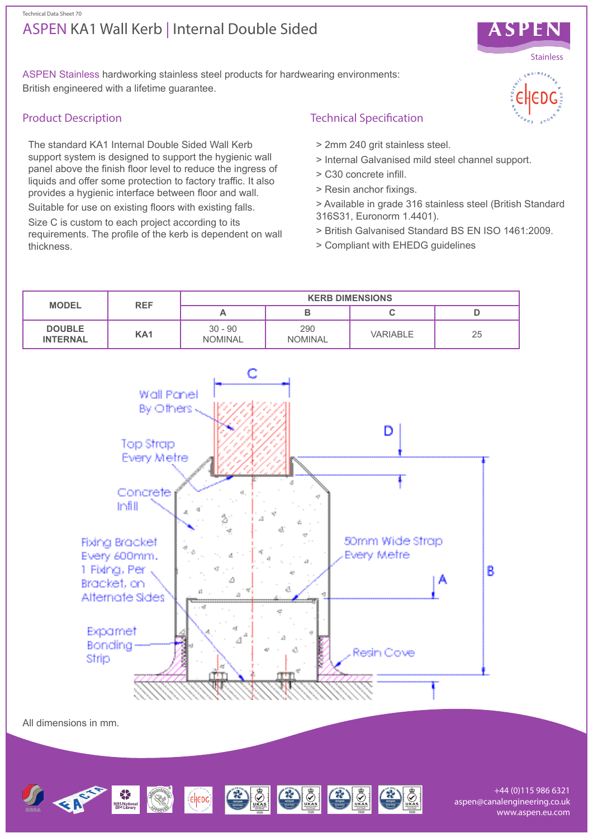## ASPEN KA1 Wall Kerb | Internal Double Sided Technical Data Sheet 70



ASPEN Stainless hardworking stainless steel products for hardwearing environments: British engineered with a lifetime guarantee.

## Product Description

The standard KA1 Internal Double Sided Wall Kerb support system is designed to support the hygienic wall panel above the finish floor level to reduce the ingress of liquids and offer some protection to factory traffic. It also provides a hygienic interface between floor and wall.

Suitable for use on existing floors with existing falls. Size C is custom to each project according to its requirements. The profile of the kerb is dependent on wall thickness.

# Technical Specification

- > 2mm 240 grit stainless steel.
- > Internal Galvanised mild steel channel support.
- > C30 concrete infill.
- > Resin anchor fixings.
- > Available in grade 316 stainless steel (British Standard 316S31, Euronorm 1.4401).
- > British Galvanised Standard BS EN ISO 1461:2009.
- > Compliant with EHEDG guidelines



CHEDO CO CO

+44 (0)115 986 6321 aspen@canalengineering.co.uk www.aspen.eu.com